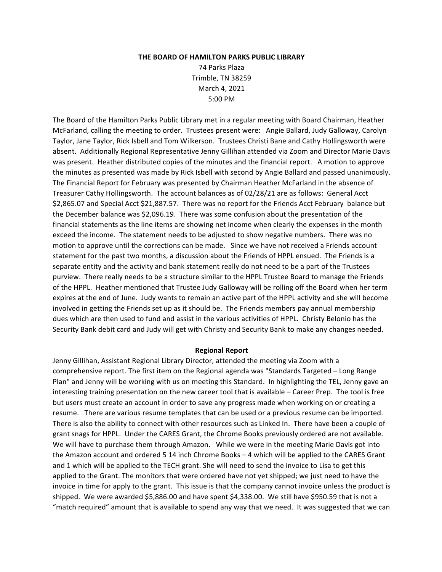#### **THE BOARD OF HAMILTON PARKS PUBLIC LIBRARY**

74 Parks Plaza Trimble, TN 38259 March 4, 2021 5:00 PM

The Board of the Hamilton Parks Public Library met in a regular meeting with Board Chairman, Heather McFarland, calling the meeting to order. Trustees present were: Angie Ballard, Judy Galloway, Carolyn Taylor, Jane Taylor, Rick Isbell and Tom Wilkerson. Trustees Christi Bane and Cathy Hollingsworth were absent. Additionally Regional Representative Jenny Gillihan attended via Zoom and Director Marie Davis was present. Heather distributed copies of the minutes and the financial report. A motion to approve the minutes as presented was made by Rick Isbell with second by Angie Ballard and passed unanimously. The Financial Report for February was presented by Chairman Heather McFarland in the absence of Treasurer Cathy Hollingsworth. The account balances as of 02/28/21 are as follows: General Acct \$2,865.07 and Special Acct \$21,887.57. There was no report for the Friends Acct February balance but the December balance was \$2,096.19. There was some confusion about the presentation of the financial statements as the line items are showing net income when clearly the expenses in the month exceed the income. The statement needs to be adjusted to show negative numbers. There was no motion to approve until the corrections can be made. Since we have not received a Friends account statement for the past two months, a discussion about the Friends of HPPL ensued. The Friends is a separate entity and the activity and bank statement really do not need to be a part of the Trustees purview. There really needs to be a structure similar to the HPPL Trustee Board to manage the Friends of the HPPL. Heather mentioned that Trustee Judy Galloway will be rolling off the Board when her term expires at the end of June. Judy wants to remain an active part of the HPPL activity and she will become involved in getting the Friends set up as it should be. The Friends members pay annual membership dues which are then used to fund and assist in the various activities of HPPL. Christy Belonio has the Security Bank debit card and Judy will get with Christy and Security Bank to make any changes needed.

# **Regional Report**

Jenny Gillihan, Assistant Regional Library Director, attended the meeting via Zoom with a comprehensive report. The first item on the Regional agenda was "Standards Targeted – Long Range Plan" and Jenny will be working with us on meeting this Standard. In highlighting the TEL, Jenny gave an interesting training presentation on the new career tool that is available – Career Prep. The tool is free but users must create an account in order to save any progress made when working on or creating a resume. There are various resume templates that can be used or a previous resume can be imported. There is also the ability to connect with other resources such as Linked In. There have been a couple of grant snags for HPPL. Under the CARES Grant, the Chrome Books previously ordered are not available. We will have to purchase them through Amazon. While we were in the meeting Marie Davis got into the Amazon account and ordered 5 14 inch Chrome Books – 4 which will be applied to the CARES Grant and 1 which will be applied to the TECH grant. She will need to send the invoice to Lisa to get this applied to the Grant. The monitors that were ordered have not yet shipped; we just need to have the invoice in time for apply to the grant. This issue is that the company cannot invoice unless the product is shipped. We were awarded \$5,886.00 and have spent \$4,338.00. We still have \$950.59 that is not a "match required" amount that is available to spend any way that we need. It was suggested that we can